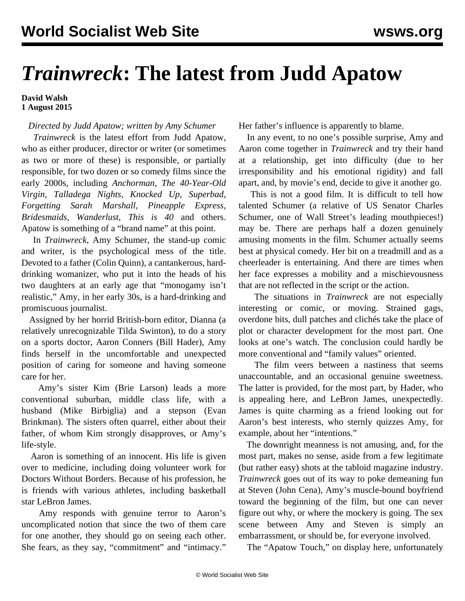## *Trainwreck***: The latest from Judd Apatow**

## **David Walsh 1 August 2015**

## *Directed by Judd Apatow; written by Amy Schumer*

 *Trainwreck* is the latest effort from Judd Apatow, who as either producer, director or writer (or sometimes as two or more of these) is responsible, or partially responsible, for two dozen or so comedy films since the early 2000s, including *Anchorman, The 40-Year-Old Virgin, Talladega Nights, Knocked Up, Superbad, Forgetting Sarah Marshall, Pineapple Express, Bridesmaids, Wanderlust, This is 40* and others. Apatow is something of a "brand name" at this point.

 In *Trainwreck*, Amy Schumer, the stand-up comic and writer, is the psychological mess of the title. Devoted to a father (Colin Quinn), a cantankerous, harddrinking womanizer, who put it into the heads of his two daughters at an early age that "monogamy isn't realistic," Amy, in her early 30s, is a hard-drinking and promiscuous journalist.

 Assigned by her horrid British-born editor, Dianna (a relatively unrecognizable Tilda Swinton), to do a story on a sports doctor, Aaron Conners (Bill Hader), Amy finds herself in the uncomfortable and unexpected position of caring for someone and having someone care for her.

 Amy's sister Kim (Brie Larson) leads a more conventional suburban, middle class life, with a husband (Mike Birbiglia) and a stepson (Evan Brinkman). The sisters often quarrel, either about their father, of whom Kim strongly disapproves, or Amy's life-style.

 Aaron is something of an innocent. His life is given over to medicine, including doing volunteer work for Doctors Without Borders. Because of his profession, he is friends with various athletes, including basketball star LeBron James.

 Amy responds with genuine terror to Aaron's uncomplicated notion that since the two of them care for one another, they should go on seeing each other. She fears, as they say, "commitment" and "intimacy."

Her father's influence is apparently to blame.

 In any event, to no one's possible surprise, Amy and Aaron come together in *Trainwreck* and try their hand at a relationship, get into difficulty (due to her irresponsibility and his emotional rigidity) and fall apart, and, by movie's end, decide to give it another go.

 This is not a good film. It is difficult to tell how talented Schumer (a relative of US Senator Charles Schumer, one of Wall Street's leading mouthpieces!) may be. There are perhaps half a dozen genuinely amusing moments in the film. Schumer actually seems best at physical comedy. Her bit on a treadmill and as a cheerleader is entertaining. And there are times when her face expresses a mobility and a mischievousness that are not reflected in the script or the action.

 The situations in *Trainwreck* are not especially interesting or comic, or moving. Strained gags, overdone bits, dull patches and clichés take the place of plot or character development for the most part. One looks at one's watch. The conclusion could hardly be more conventional and "family values" oriented.

 The film veers between a nastiness that seems unaccountable, and an occasional genuine sweetness. The latter is provided, for the most part, by Hader, who is appealing here, and LeBron James, unexpectedly. James is quite charming as a friend looking out for Aaron's best interests, who sternly quizzes Amy, for example, about her "intentions."

 The downright meanness is not amusing, and, for the most part, makes no sense, aside from a few legitimate (but rather easy) shots at the tabloid magazine industry. *Trainwreck* goes out of its way to poke demeaning fun at Steven (John Cena), Amy's muscle-bound boyfriend toward the beginning of the film, but one can never figure out why, or where the mockery is going. The sex scene between Amy and Steven is simply an embarrassment, or should be, for everyone involved.

The "Apatow Touch," on display here, unfortunately